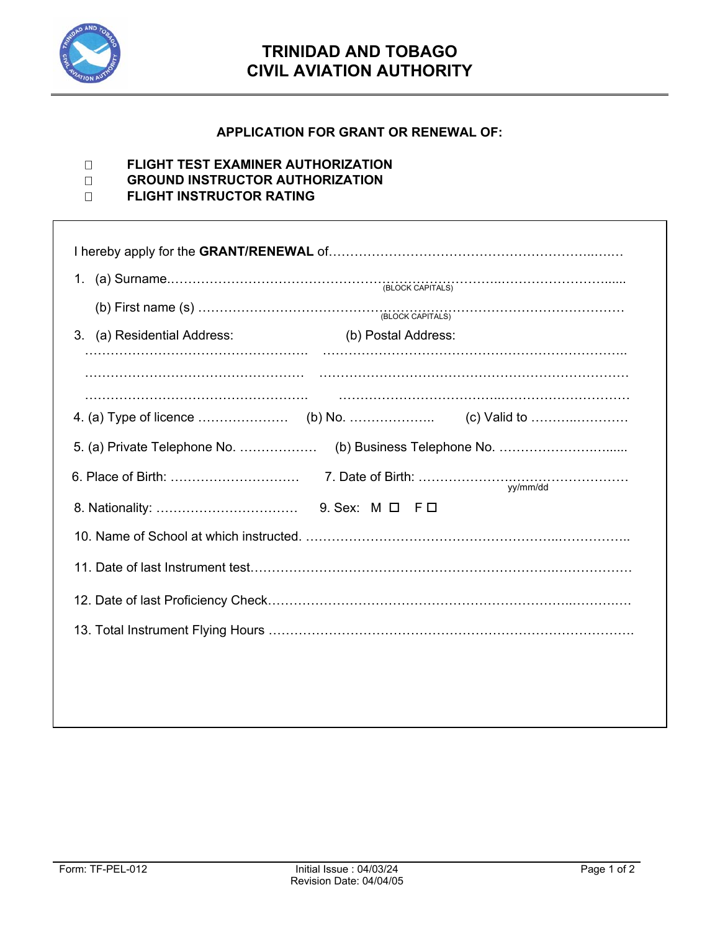

## **TRINIDAD AND TOBAGO CIVIL AVIATION AUTHORITY**

## **APPLICATION FOR GRANT OR RENEWAL OF:**

## **FLIGHT TEST EXAMINER AUTHORIZATION**

- **GROUND INSTRUCTOR AUTHORIZATION**
- **FLIGHT INSTRUCTOR RATING**

|                             | (b) First name (s) $\ldots$ $\ldots$ $\ldots$ $\ldots$ $\ldots$ $\ldots$ $\ldots$ $\ldots$ $\ldots$ $\ldots$ $\ldots$ $\ldots$ $\ldots$ $\ldots$ $\ldots$ $\ldots$ $\ldots$ $\ldots$ $\ldots$ $\ldots$ |
|-----------------------------|--------------------------------------------------------------------------------------------------------------------------------------------------------------------------------------------------------|
| 3. (a) Residential Address: | (b) Postal Address:                                                                                                                                                                                    |
|                             |                                                                                                                                                                                                        |
|                             |                                                                                                                                                                                                        |
|                             |                                                                                                                                                                                                        |
|                             |                                                                                                                                                                                                        |
|                             | yy/mm/dd                                                                                                                                                                                               |
|                             |                                                                                                                                                                                                        |
|                             |                                                                                                                                                                                                        |
|                             |                                                                                                                                                                                                        |
|                             |                                                                                                                                                                                                        |
|                             |                                                                                                                                                                                                        |